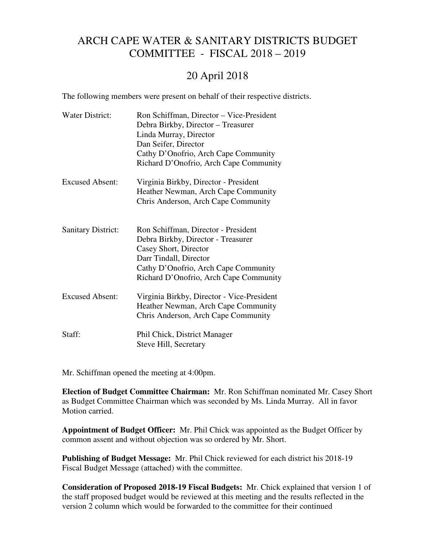## ARCH CAPE WATER & SANITARY DISTRICTS BUDGET COMMITTEE - FISCAL 2018 – 2019

## 20 April 2018

The following members were present on behalf of their respective districts.

| <b>Water District:</b>    | Ron Schiffman, Director - Vice-President<br>Debra Birkby, Director - Treasurer<br>Linda Murray, Director<br>Dan Seifer, Director<br>Cathy D'Onofrio, Arch Cape Community<br>Richard D'Onofrio, Arch Cape Community |
|---------------------------|--------------------------------------------------------------------------------------------------------------------------------------------------------------------------------------------------------------------|
| <b>Excused Absent:</b>    | Virginia Birkby, Director - President<br>Heather Newman, Arch Cape Community<br>Chris Anderson, Arch Cape Community                                                                                                |
| <b>Sanitary District:</b> | Ron Schiffman, Director - President<br>Debra Birkby, Director - Treasurer<br>Casey Short, Director<br>Darr Tindall, Director<br>Cathy D'Onofrio, Arch Cape Community<br>Richard D'Onofrio, Arch Cape Community     |
| <b>Excused Absent:</b>    | Virginia Birkby, Director - Vice-President<br>Heather Newman, Arch Cape Community<br>Chris Anderson, Arch Cape Community                                                                                           |
| Staff:                    | Phil Chick, District Manager<br>Steve Hill, Secretary                                                                                                                                                              |

Mr. Schiffman opened the meeting at 4:00pm.

**Election of Budget Committee Chairman:** Mr. Ron Schiffman nominated Mr. Casey Short as Budget Committee Chairman which was seconded by Ms. Linda Murray. All in favor Motion carried.

**Appointment of Budget Officer:** Mr. Phil Chick was appointed as the Budget Officer by common assent and without objection was so ordered by Mr. Short.

**Publishing of Budget Message:** Mr. Phil Chick reviewed for each district his 2018-19 Fiscal Budget Message (attached) with the committee.

**Consideration of Proposed 2018-19 Fiscal Budgets:** Mr. Chick explained that version 1 of the staff proposed budget would be reviewed at this meeting and the results reflected in the version 2 column which would be forwarded to the committee for their continued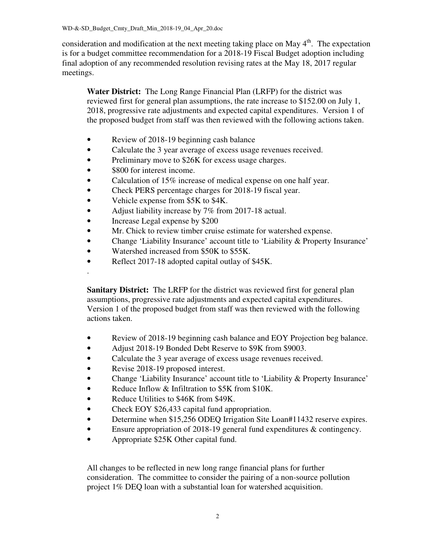consideration and modification at the next meeting taking place on May  $4<sup>th</sup>$ . The expectation is for a budget committee recommendation for a 2018-19 Fiscal Budget adoption including final adoption of any recommended resolution revising rates at the May 18, 2017 regular meetings.

 **Water District:** The Long Range Financial Plan (LRFP) for the district was reviewed first for general plan assumptions, the rate increase to \$152.00 on July 1, 2018, progressive rate adjustments and expected capital expenditures. Version 1 of the proposed budget from staff was then reviewed with the following actions taken.

- Review of 2018-19 beginning cash balance
- Calculate the 3 year average of excess usage revenues received.
- Preliminary move to \$26K for excess usage charges.
- \$800 for interest income.

.

- Calculation of 15% increase of medical expense on one half year.
- Check PERS percentage charges for 2018-19 fiscal year.
- Vehicle expense from \$5K to \$4K.
- Adjust liability increase by 7% from 2017-18 actual.
- Increase Legal expense by \$200
- Mr. Chick to review timber cruise estimate for watershed expense.
- Change 'Liability Insurance' account title to 'Liability & Property Insurance'
- Watershed increased from \$50K to \$55K.
- Reflect 2017-18 adopted capital outlay of \$45K.

**Sanitary District:** The LRFP for the district was reviewed first for general plan assumptions, progressive rate adjustments and expected capital expenditures. Version 1 of the proposed budget from staff was then reviewed with the following actions taken.

- Review of 2018-19 beginning cash balance and EOY Projection beg balance.
- Adjust 2018-19 Bonded Debt Reserve to \$9K from \$9003.
- Calculate the 3 year average of excess usage revenues received.
- Revise 2018-19 proposed interest.
- Change 'Liability Insurance' account title to 'Liability & Property Insurance'
- Reduce Inflow & Infiltration to \$5K from \$10K.
- Reduce Utilities to \$46K from \$49K.
- Check EOY \$26,433 capital fund appropriation.
- Determine when \$15,256 ODEQ Irrigation Site Loan#11432 reserve expires.
- Ensure appropriation of 2018-19 general fund expenditures & contingency.
- Appropriate \$25K Other capital fund.

All changes to be reflected in new long range financial plans for further consideration. The committee to consider the pairing of a non-source pollution project 1% DEQ loan with a substantial loan for watershed acquisition.